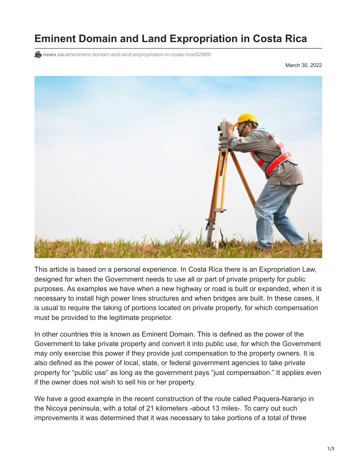## **Eminent Domain and Land Expropriation in Costa Rica**

**news.co.cr**[/eminent-domain-and-land-expropriation-in-costa-rica/82989/](https://news.co.cr/eminent-domain-and-land-expropriation-in-costa-rica/82989/)

March 30, 2022



This article is based on a personal experience. In Costa Rica there is an Expropriation Law, designed for when the Government needs to use all or part of private property for public purposes. As examples we have when a new highway or road is built or expanded, when it is necessary to install high power lines structures and when bridges are built. In these cases, it is usual to require the taking of portions located on private property, for which compensation must be provided to the legitimate proprietor.

In other countries this is known as Eminent Domain. This is defined as the power of the Government to take private property and convert it into public use, for which the Government may only exercise this power if they provide just compensation to the property owners. It is also defined as the power of local, state, or federal government agencies to take private property for "public use" as long as the government pays "just compensation." It applies even if the owner does not wish to sell his or her property.

We have a good example in the recent construction of the route called Paquera-Naranjo in the Nicoya peninsula, with a total of 21 kilometers -about 13 miles-. To carry out such improvements it was determined that it was necessary to take portions of a total of three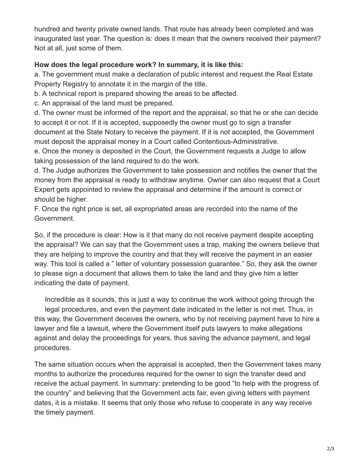hundred and twenty private owned lands. That route has already been completed and was inaugurated last year. The question is: does it mean that the owners received their payment? Not at all, just some of them.

## **How does the legal procedure work? In summary, it is like this:**

a. The government must make a declaration of public interest and request the Real Estate Property Registry to annotate it in the margin of the title.

b. A technical report is prepared showing the areas to be affected.

c. An appraisal of the land must be prepared.

d. The owner must be informed of the report and the appraisal, so that he or she can decide to accept it or not. If it is accepted, supposedly the owner must go to sign a transfer document at the State Notary to receive the payment. If it is not accepted, the Government must deposit the appraisal money in a Court called Contentious-Administrative.

e. Once the money is deposited in the Court, the Government requests a Judge to allow taking possession of the land required to do the work.

d. The Judge authorizes the Government to take possession and notifies the owner that the money from the appraisal is ready to withdraw anytime. Owner can also request that a Court Expert gets appointed to review the appraisal and determine if the amount is correct or should be higher.

F. Once the right price is set, all expropriated areas are recorded into the name of the Government.

So, if the procedure is clear: How is it that many do not receive payment despite accepting the appraisal? We can say that the Government uses a trap, making the owners believe that they are helping to improve the country and that they will receive the payment in an easier way. This tool is called a " letter of voluntary possession guarantee." So, they ask the owner to please sign a document that allows them to take the land and they give him a letter indicating the date of payment.

Incredible as it sounds, this is just a way to continue the work without going through the legal procedures, and even the payment date indicated in the letter is not met. Thus, in this way, the Government deceives the owners, who by not receiving payment have to hire a lawyer and file a lawsuit, where the Government itself puts lawyers to make allegations against and delay the proceedings for years, thus saving the advance payment, and legal procedures.

The same situation occurs when the appraisal is accepted, then the Government takes many months to authorize the procedures required for the owner to sign the transfer deed and receive the actual payment. In summary: pretending to be good "to help with the progress of the country" and believing that the Government acts fair, even giving letters with payment dates, it is a mistake. It seems that only those who refuse to cooperate in any way receive the timely payment.